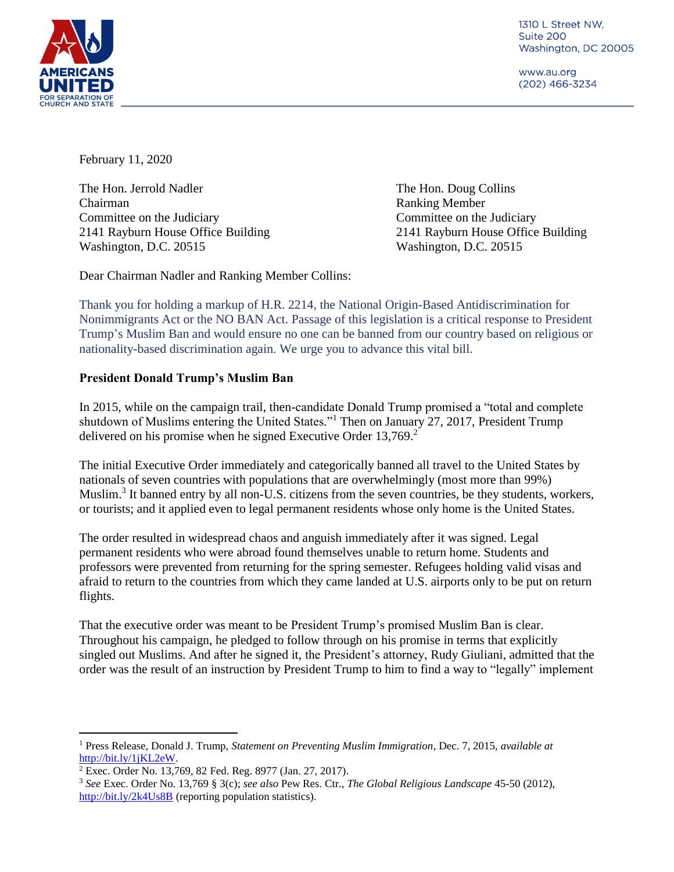

1310 L Street NW, Suite 200 Washington, DC 20005

www.au.org (202) 466-3234

February 11, 2020

The Hon. Jerrold Nadler The Hon. Doug Collins Chairman Ranking Member Committee on the Judiciary Committee on the Judiciary 2141 Rayburn House Office Building 2141 Rayburn House Office Building Washington, D.C. 20515 Washington, D.C. 20515

Dear Chairman Nadler and Ranking Member Collins:

Thank you for holding a markup of H.R. 2214, the National Origin-Based Antidiscrimination for Nonimmigrants Act or the NO BAN Act. Passage of this legislation is a critical response to President Trump's Muslim Ban and would ensure no one can be banned from our country based on religious or nationality-based discrimination again. We urge you to advance this vital bill.

## **President Donald Trump's Muslim Ban**

In 2015, while on the campaign trail, then-candidate Donald Trump promised a "total and complete shutdown of Muslims entering the United States."<sup>1</sup> Then on January 27, 2017, President Trump delivered on his promise when he signed Executive Order 13,769.<sup>2</sup>

The initial Executive Order immediately and categorically banned all travel to the United States by nationals of seven countries with populations that are overwhelmingly (most more than 99%) Muslim.<sup>3</sup> It banned entry by all non-U.S. citizens from the seven countries, be they students, workers, or tourists; and it applied even to legal permanent residents whose only home is the United States.

The order resulted in widespread chaos and anguish immediately after it was signed. Legal permanent residents who were abroad found themselves unable to return home. Students and professors were prevented from returning for the spring semester. Refugees holding valid visas and afraid to return to the countries from which they came landed at U.S. airports only to be put on return flights.

That the executive order was meant to be President Trump's promised Muslim Ban is clear. Throughout his campaign, he pledged to follow through on his promise in terms that explicitly singled out Muslims. And after he signed it, the President's attorney, Rudy Giuliani, admitted that the order was the result of an instruction by President Trump to him to find a way to "legally" implement

 $\overline{a}$ <sup>1</sup> Press Release, Donald J. Trump, *Statement on Preventing Muslim Immigration*, Dec. 7, 2015, *available at* [http://bit.ly/1jKL2eW.](http://bit.ly/1jKL2eW)

<sup>2</sup> Exec. Order No. 13,769, 82 Fed. Reg. 8977 (Jan. 27, 2017).

<sup>3</sup> *See* Exec. Order No. 13,769 § 3(c); *see also* Pew Res. Ctr., *The Global Religious Landscape* 45-50 (2012), <http://bit.ly/2k4Us8B> (reporting population statistics).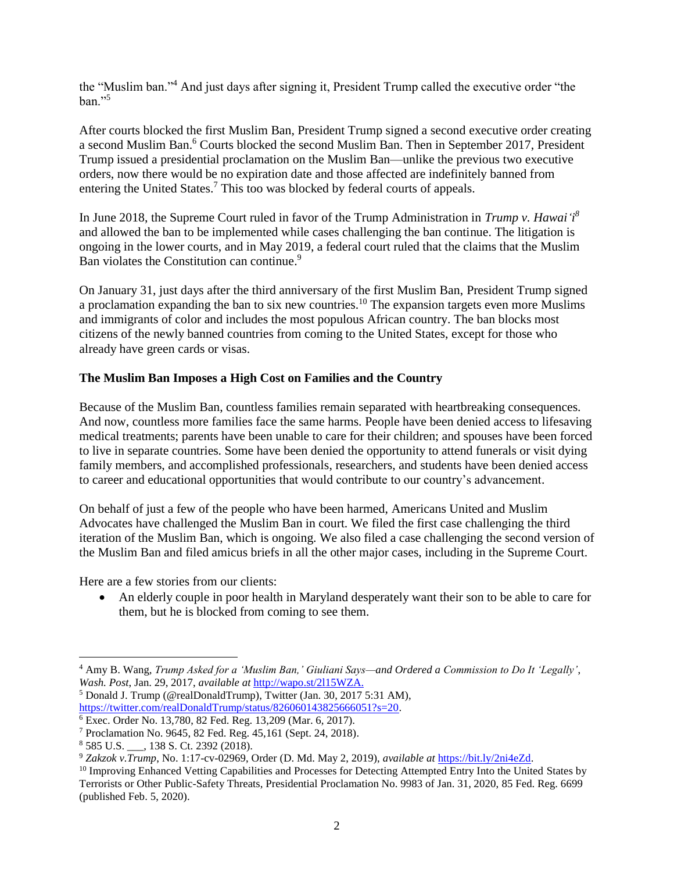the "Muslim ban."<sup>4</sup> And just days after signing it, President Trump called the executive order "the  $ban.$ <sup>55</sup>

After courts blocked the first Muslim Ban, President Trump signed a second executive order creating a second Muslim Ban.<sup>6</sup> Courts blocked the second Muslim Ban. Then in September 2017, President Trump issued a presidential proclamation on the Muslim Ban—unlike the previous two executive orders, now there would be no expiration date and those affected are indefinitely banned from entering the United States.<sup>7</sup> This too was blocked by federal courts of appeals.

In June 2018, the Supreme Court ruled in favor of the Trump Administration in *Trump v. Hawai'i 8* and allowed the ban to be implemented while cases challenging the ban continue. The litigation is ongoing in the lower courts, and in May 2019, a federal court ruled that the claims that the Muslim Ban violates the Constitution can continue.<sup>9</sup>

On January 31, just days after the third anniversary of the first Muslim Ban, President Trump signed a proclamation expanding the ban to six new countries.<sup>10</sup> The expansion targets even more Muslims and immigrants of color and includes the most populous African country. The ban blocks most citizens of the newly banned countries from coming to the United States, except for those who already have green cards or visas.

## **The Muslim Ban Imposes a High Cost on Families and the Country**

Because of the Muslim Ban, countless families remain separated with heartbreaking consequences. And now, countless more families face the same harms. People have been denied access to lifesaving medical treatments; parents have been unable to care for their children; and spouses have been forced to live in separate countries. Some have been denied the opportunity to attend funerals or visit dying family members, and accomplished professionals, researchers, and students have been denied access to career and educational opportunities that would contribute to our country's advancement.

On behalf of just a few of the people who have been harmed, Americans United and Muslim Advocates have challenged the Muslim Ban in court. We filed the first case challenging the third iteration of the Muslim Ban, which is ongoing. We also filed a case challenging the second version of the Muslim Ban and filed amicus briefs in all the other major cases, including in the Supreme Court.

Here are a few stories from our clients:

 An elderly couple in poor health in Maryland desperately want their son to be able to care for them, but he is blocked from coming to see them.

<sup>5</sup> Donald J. Trump (@realDonaldTrump), Twitter (Jan. 30, 2017 5:31 AM), [https://twitter.com/realDonaldTrump/status/826060143825666051?s=20.](https://twitter.com/realDonaldTrump/status/826060143825666051?s=20)

 $\overline{a}$ 

<sup>4</sup> Amy B. Wang, *Trump Asked for a 'Muslim Ban,' Giuliani Says—and Ordered a Commission to Do It 'Legally'*, *Wash. Post*, Jan. 29, 2017, *available at* [http://wapo.st/2l15WZA.](http://wapo.st/2l15WZA)

<sup>6</sup> Exec. Order No. 13,780, 82 Fed. Reg. 13,209 (Mar. 6, 2017).

<sup>7</sup> Proclamation No. 9645, 82 Fed. Reg. 45,161 (Sept. 24, 2018).

<sup>8</sup> 585 U.S. \_\_\_, 138 S. Ct. 2392 (2018).

<sup>9</sup> *Zakzok v.Trump*, No. 1:17-cv-02969, Order (D. Md. May 2, 2019), *available at* [https://bit.ly/2ni4eZd.](https://bit.ly/2ni4eZd)

<sup>&</sup>lt;sup>10</sup> Improving Enhanced Vetting Capabilities and Processes for Detecting Attempted Entry Into the United States by Terrorists or Other Public-Safety Threats, Presidential Proclamation No. 9983 of Jan. 31, 2020, 85 Fed. Reg. 6699 (published Feb. 5, 2020).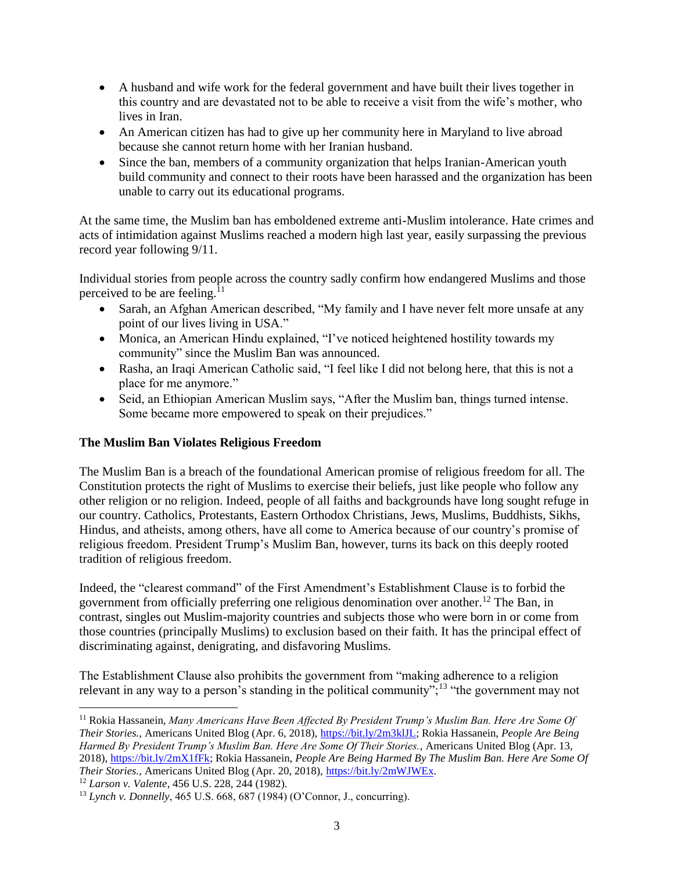- A husband and wife work for the federal government and have built their lives together in this country and are devastated not to be able to receive a visit from the wife's mother, who lives in Iran.
- An American citizen has had to give up her community here in Maryland to live abroad because she cannot return home with her Iranian husband.
- Since the ban, members of a community organization that helps Iranian-American youth build community and connect to their roots have been harassed and the organization has been unable to carry out its educational programs.

At the same time, the Muslim ban has emboldened extreme anti-Muslim intolerance. Hate crimes and acts of intimidation against Muslims reached a modern high last year, easily surpassing the previous record year following 9/11.

Individual stories from people across the country sadly confirm how endangered Muslims and those perceived to be are feeling.<sup>11</sup>

- Sarah, an Afghan American described, "My family and I have never felt more unsafe at any point of our lives living in USA."
- Monica, an American Hindu explained, "I've noticed heightened hostility towards my community" since the Muslim Ban was announced.
- Rasha, an Iraqi American Catholic said, "I feel like I did not belong here, that this is not a place for me anymore."
- Seid, an Ethiopian American Muslim says, "After the Muslim ban, things turned intense. Some became more empowered to speak on their prejudices."

# **The Muslim Ban Violates Religious Freedom**

The Muslim Ban is a breach of the foundational American promise of religious freedom for all. The Constitution protects the right of Muslims to exercise their beliefs, just like people who follow any other religion or no religion. Indeed, people of all faiths and backgrounds have long sought refuge in our country. Catholics, Protestants, Eastern Orthodox Christians, Jews, Muslims, Buddhists, Sikhs, Hindus, and atheists, among others, have all come to America because of our country's promise of religious freedom. President Trump's Muslim Ban, however, turns its back on this deeply rooted tradition of religious freedom.

Indeed, the "clearest command" of the First Amendment's Establishment Clause is to forbid the government from officially preferring one religious denomination over another.<sup>12</sup> The Ban, in contrast, singles out Muslim-majority countries and subjects those who were born in or come from those countries (principally Muslims) to exclusion based on their faith. It has the principal effect of discriminating against, denigrating, and disfavoring Muslims.

The Establishment Clause also prohibits the government from "making adherence to a religion relevant in any way to a person's standing in the political community";<sup>13</sup> "the government may not

 $\overline{a}$ <sup>11</sup> Rokia Hassanein, *Many Americans Have Been Affected By President Trump's Muslim Ban. Here Are Some Of Their Stories.*, Americans United Blog (Apr. 6, 2018), [https://bit.ly/2m3klJL;](https://bit.ly/2m3klJL) Rokia Hassanein, *People Are Being Harmed By President Trump's Muslim Ban. Here Are Some Of Their Stories.*, Americans United Blog (Apr. 13, 2018), [https://bit.ly/2mX1fFk;](https://bit.ly/2mX1fFk) Rokia Hassanein, *People Are Being Harmed By The Muslim Ban. Here Are Some Of Their Stories.*, Americans United Blog (Apr. 20, 2018), [https://bit.ly/2mWJWEx.](https://bit.ly/2mWJWEx)

<sup>12</sup> *Larson v. Valente*, 456 U.S. 228, 244 (1982).

<sup>13</sup> *Lynch v. Donnelly*, 465 U.S. 668, 687 (1984) (O'Connor, J., concurring).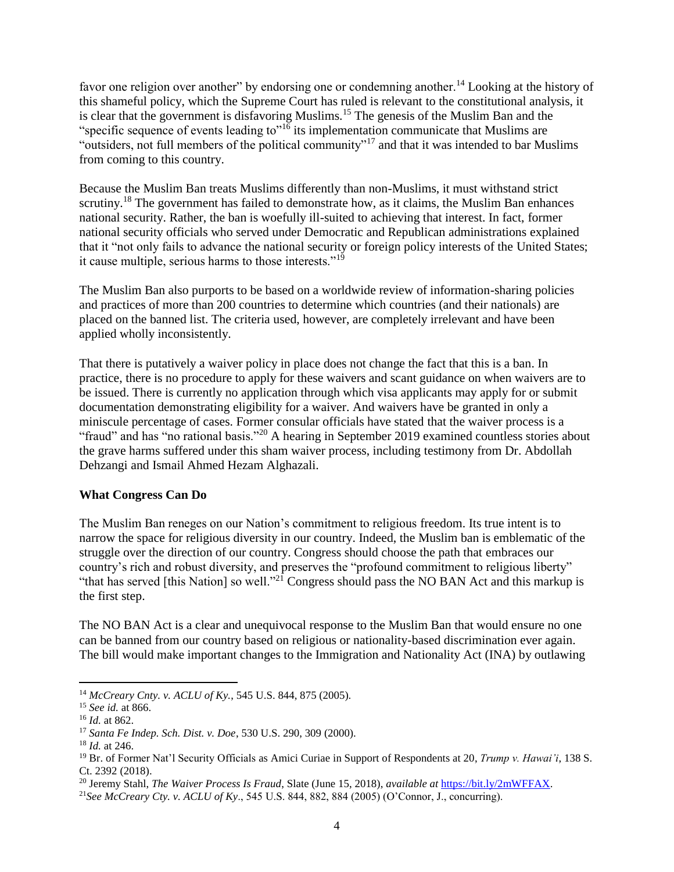favor one religion over another" by endorsing one or condemning another.<sup>14</sup> Looking at the history of this shameful policy, which the Supreme Court has ruled is relevant to the constitutional analysis, it is clear that the government is disfavoring Muslims.<sup>15</sup> The genesis of the Muslim Ban and the "specific sequence of events leading to"<sup>16</sup> its implementation communicate that Muslims are "outsiders, not full members of the political community"<sup>17</sup> and that it was intended to bar Muslims from coming to this country.

Because the Muslim Ban treats Muslims differently than non-Muslims, it must withstand strict scrutiny.<sup>18</sup> The government has failed to demonstrate how, as it claims, the Muslim Ban enhances national security. Rather, the ban is woefully ill-suited to achieving that interest. In fact, former national security officials who served under Democratic and Republican administrations explained that it "not only fails to advance the national security or foreign policy interests of the United States; it cause multiple, serious harms to those interests." $19$ 

The Muslim Ban also purports to be based on a worldwide review of information-sharing policies and practices of more than 200 countries to determine which countries (and their nationals) are placed on the banned list. The criteria used, however, are completely irrelevant and have been applied wholly inconsistently.

That there is putatively a waiver policy in place does not change the fact that this is a ban. In practice, there is no procedure to apply for these waivers and scant guidance on when waivers are to be issued. There is currently no application through which visa applicants may apply for or submit documentation demonstrating eligibility for a waiver. And waivers have be granted in only a miniscule percentage of cases. Former consular officials have stated that the waiver process is a "fraud" and has "no rational basis."<sup>20</sup> A hearing in September 2019 examined countless stories about the grave harms suffered under this sham waiver process, including testimony from Dr. Abdollah Dehzangi and Ismail Ahmed Hezam Alghazali.

## **What Congress Can Do**

The Muslim Ban reneges on our Nation's commitment to religious freedom. Its true intent is to narrow the space for religious diversity in our country. Indeed, the Muslim ban is emblematic of the struggle over the direction of our country. Congress should choose the path that embraces our country's rich and robust diversity, and preserves the "profound commitment to religious liberty" "that has served [this Nation] so well."<sup>21</sup> Congress should pass the NO BAN Act and this markup is the first step.

The NO BAN Act is a clear and unequivocal response to the Muslim Ban that would ensure no one can be banned from our country based on religious or nationality-based discrimination ever again. The bill would make important changes to the Immigration and Nationality Act (INA) by outlawing

 $\overline{a}$ <sup>14</sup> *McCreary Cnty. v. ACLU of Ky.*, 545 U.S. 844, 875 (2005).

<sup>15</sup> *See id.* at 866.

<sup>16</sup> *Id.* at 862.

<sup>17</sup> *Santa Fe Indep. Sch. Dist. v. Doe*, 530 U.S. 290, 309 (2000).

<sup>18</sup> *Id.* at 246.

<sup>19</sup> Br. of Former Nat'l Security Officials as Amici Curiae in Support of Respondents at 20, *Trump v. Hawai'i*, 138 S. Ct. 2392 (2018).

<sup>20</sup> Jeremy Stahl, *The Waiver Process Is Fraud*, Slate (June 15, 2018), *available at* [https://bit.ly/2mWFFAX.](https://bit.ly/2mWFFAX)

<sup>21</sup>*See McCreary Cty. v. ACLU of Ky*., 545 U.S. 844, 882, 884 (2005) (O'Connor, J., concurring).